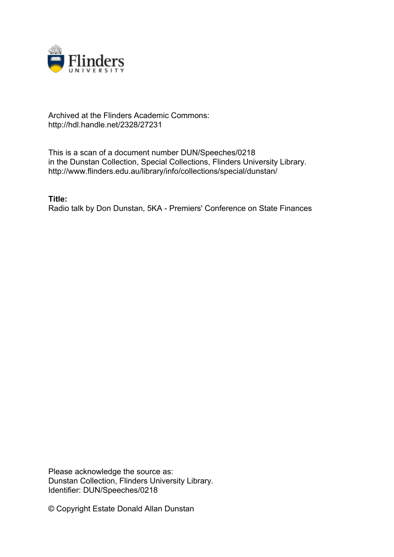

## Archived at the Flinders Academic Commons: http://hdl.handle.net/2328/27231

This is a scan of a document number DUN/Speeches/0218 in the Dunstan Collection, Special Collections, Flinders University Library. http://www.flinders.edu.au/library/info/collections/special/dunstan/

**Title:**

Radio talk by Don Dunstan, 5KA - Premiers' Conference on State Finances

Please acknowledge the source as: Dunstan Collection, Flinders University Library. Identifier: DUN/Speeches/0218

© Copyright Estate Donald Allan Dunstan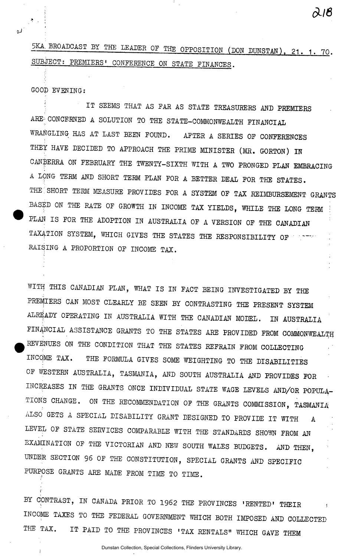5KA BROADCAST BY THE LEADER OF THE OPPOSITION (DON DUNSTAN), 21. 1. 70. SUBJECT; PREMIERS' CONFERENCE ON STATE FINANCES.

GOOD EVENING:

÷

IT SEEMS THAT AS FAR AS STATE TREASURERS AND PREMIERS ARE-CONCERNED A SOLUTION TO THE STATE-COMMONWEALTH FINANCIAL WRANGLING HAS AT LAST BEEN FOUND. AFTER A SERIES OF CONFERENCES THEY HAVE DECIDED TO APPROACH THE PRIME MINISTER (MR. GORTON) IN CANBERRA ON FEBRUARY THE TWENTY-SIXTH WITH A TWO PRONGED PLAN EMBRACING A LONG TERM AND SHORT TERM PLAN FOR A BETTER DEAL FOR THE STATES. THE SHORT TERM MEASURE PROVIDES FOR A SYSTEM OF TAX REIMBURSEMENT GRANTS BASED ON THE RATE OF GROWTH IN INCOME TAX YIELDS, WHILE THE LONG TERM PLAN IS FOR THE ADOPTION IN AUSTRALIA OF A VERSION OF THE CANADIAN TAXATION SYSTEM, WHICH GIVES THE STATES THE RESPONSIBILITY OF ' RAISING A PROPORTION OF INCOME TAX.

WITH THIS CANADIAN PLAN, WHAT IS IN FACT BEING INVESTIGATED BY THE PREMIERS CAN MOST CLEARLY BE SEEN BY CONTRASTING THE PRESENT SYSTEM ALREADY OPERATING IN AUSTRALIA WITH THE CANADIAN MODEL. IN AUGERALIA FINANCIAL ASSISTANCE GRANTS TO THE STATES ARE PROVIDED FROM COMMONWEALTH REVENUES ON THE CONDITION THAT THE STATES REFRAIN FROM COLLECTING INCQME TAX. THE FORMULA GIVES SOME WEIGHTING TO THE DISABILITIES OF WESTERN AUSTRALIA, TASMANIA, AND SOUTH AUSTRALIA AND PROVIDES FOR INCREASES IN THE GRANTS ONCE INDIVIDUAL STATE WAGE LEVELS AND/OR POPULA-TIONS CHANGE. ON THE RECOMMENDATION OF THE GRANTS COMMISSION, TASMANIA ALSO GETS A SPECIAL DISABILITY GRANT DESIGNED TO PROVIDE IT WITH  $\mathbf{A}$ LEVEL OF STATE SERVICES COMPARABLE WITH THE STANDARDS SHOWN FROM AN EXAMINATION OF THE VICTORIAN AND NEW SOUTH WALES BUDGETS. AND THEN, UNDER SECTION 96 OF THE CONSTITUTION, SPECIAL GRANTS AND SPECIFIC PURPOSE GRANTS ARE MADE FROM TIME TO TIME.

BY CONTRAST, IN CANADA PRIOR TO 1962 THE PROVINCES 'RENTED' THEIR INCOME TAXES TO THE FEDERAL GOVERNMENT WHICH BOTH IMPOSED AND COLLECTED THE TAX. IT PAID TO THE PROVINCES 'TAX RENTALS" WHICH GAVE THEM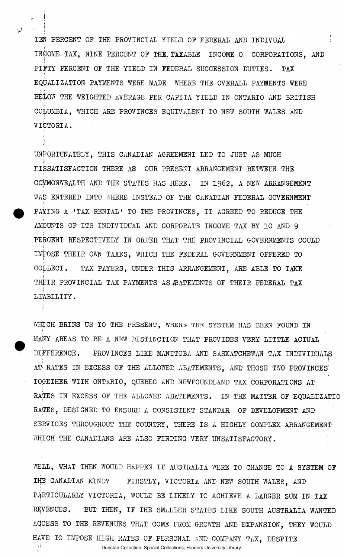TEN PERCENT OP THE PROVINCIAL YIELD OP FEDERAL AND INDIVUAL *\*  INCOME TAX, NINE PERCENT OF THE. TAXABLE INCOME 0 CORPORATIONS, AND FIFTY PERCENT OF THE YIELD IN FEDERAL SUCCESSION DUTIES. TAX EQUALIZATION PAYMENTS WERE MADE WHERE THE OVERALL PAYMENTS WERE BELOW THE WEIGHTED AVERAGE PER CAPITA YIELD IN ONTARIO AND BRITISH COLUMBIA, WHICH ARE PROVINCES EQUIVALENT TO NEW SOUTH WALES AND VICTORIA.

UNFORTUNATELY, THIS CANADIAN AGREEMENT LED TO JUST AS MUCH DISSATISFACTION THERE AS OUR PRESENT ARRANGEMENT BETWEEN THE COMMONWEALTH AND THE STATES HAS HERE. IN 1962, A NEW ARRANGEMENT WAS ENTERED INTO WHERE INSTEAD OF THE CANADIAN FEDERAL GOVERNMENT PAYING A 'TAX RENTAL• TO THE PROVINCES, IT AGREED TO REDUCE THE AMOUNTS OF ITS INDIVIDUAL AND CORPORATE INCOME TAX BY 10 AND 9 PERCENT RESPECTIVELY IN ORDER THAT THE PROVINCIAL GOVERNMENTS COULD IMPOSE THEIR OWN TAXES, WHICH THE FEDERAL GOVERNMENT OFFERED TO i COLLECT. TAX PAYERS, UNDER THIS ARRANGEMENT, ARE ABLE TO TAKE THEIR PROVINCIAL TAX PAYMENTS AS ARATEMENTS OF THEIR FEDERAL TAX LIABILITY.

WHICH BRINS US TO THE PRESENT, WHERE THE SYSTEM HAS BEEN FOUND IN MANY AREAS TO BE A NEW DISTINCTION THAT PROVIDES VERY LITTLE ACTUAL DIFFERENCE. PROVINCES LIKE MANITOBA AND SASKATCHEWAN TAX INDIVIDUALS AT; RATES IN EXCESS OF THE ALLOWED ABATEMENTS, AND THOSE TWO PROVINCES' TOGETHER WITH ONTARIO, QUEBEC AND NEWFOUNDLAND TAX CORPORATIONS AT RATES IN EXCESS OF THE ALLOWED ABATEMENTS. IN THE MATTER OF EQUALIZATIO RATES, DESIGNED TO ENSURE A CONSISTENT STANDAR OF DEVELOPMENT AND SERVICES THROUGHOUT THE COUNTRY, THERE IS A HIGHLY COMPLEX ARRANGEMENT WHICH THE CANADIANS ARE ALSO FINDING VERY UNSATISFACTORY.

WELL, WHAT THEN WOULD HAPPEN IF AUSTRALIA WERE TO CHANGE TO A SYSTEM OF THE CANADIAN KIND? FIRSTLY, VICTORIA AND NEW SOUTH WALES, AND PARTICULARLY VICTORIA, WOULD BE LIKELY TO ACHIEVE A LARGER SUM IN TAX REVENUES. BUT THEN, IF THE SMALLER STATES LIKE SOUTH AUSTRALIA WANTED ACCESS TO THE REVENUES THAT COME FROM GROWTH ANT'EXPANSION, THEY WOULD HAVE TO IMPOSE HIGH RATES OF PERSONAL AND COMPANY TAX, DESPITE e)<br>1 Dunstan Collection, Special Collections, Flinders University Library.